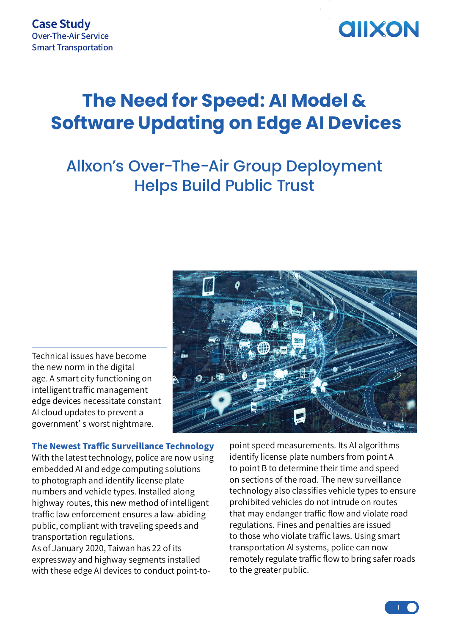

## **The Need for Speed: AI Model & Software Updating on Edge AI Devices**

### Allxon's Over-The-Air Group Deployment Helps Build Public Trust

Technical issues have become the new norm in the digital age. A smart city functioning on intelligent traffic management edge devices necessitate constant AI cloud updates to prevent a government's worst nightmare.



#### The Newest Traffic Surveillance Technology

With the latest technology, police are now using embedded AI and edge computing solutions to photograph and identify license plate numbers and vehicle types. Installed along highway routes, this new method of intelligent traffic law enforcement ensures a law-abiding public, compliant with traveling speeds and transportation regulations.

As of January 2020, Taiwan has 22 of its expressway and highway segments installed with these edge AI devices to conduct point-to-

point speed measurements. Its AI algorithms identify license plate numbers from point A to point B to determine their time and speed on sections of the road. The new surveillance technology also classifies vehicle types to ensure prohibited vehicles do not intrude on routes that may endanger traffic flow and violate road regulations. Fines and penalties are issued to those who violate traffic laws. Using smart transportation AI systems, police can now remotely regulate traffic flow to bring safer roads to the greater public.